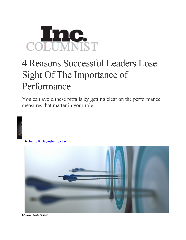## COLUMNIST

## 4 Reasons Successful Leaders Lose Sight Of The Importance of Performance

You can avoid these pitfalls by getting clear on the performance measures that matter in your role.



By Joelle K. Jay@JoelleKJay



*CREDIT: Getty Images*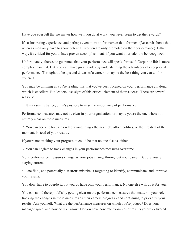Have you ever felt that no matter how well you do at work, you never seem to get the rewards?

It's a frustrating experience, and perhaps even more so for women than for men. (Research shows that whereas men only have to show potential, women are only promoted on their performance). Either way, it's critical for you to have proven accomplishments if you want your talent to be recognized.

Unfortunately, there's no guarantee that your performance will speak for itself. Corporate life is more complex than that. But, you can make great strides by understanding the advantages of exceptional performance. Throughout the ups and downs of a career, it may be the best thing you can do for yourself.

You may be thinking as you're reading this that you've been focused on your performance all along, which is excellent. But leaders lose sight of this critical element of their success. There are several reasons:

1. It may seem strange, but it's possible to miss the importance of performance.

Performance measures may not be clear in your organization, or maybe you're the one who's not entirely clear on those measures.

2. You can become focused on the wrong thing - the next job, office politics, or the fire drill of the moment, instead of your results.

If you're not tracking your progress, it could be that no one else is, either.

3. You can neglect to track changes in your performance measures over time.

Your performance measures change as your jobs change throughout your career. Be sure you're staying current.

4. One final, and potentially disastrous mistake is forgetting to identify, communicate, and improve your results.

You don't have to overdo it, but you do have own your performance. No one else will do it for you.

You can avoid these pitfalls by getting clear on the performance measures that matter in your role tracking the changes in those measures as their careers progress - and continuing to prioritize your results. Ask yourself: What are the performance measures on which you're judged? Does your manager agree, and how do you know? Do you have concrete examples of results you've delivered